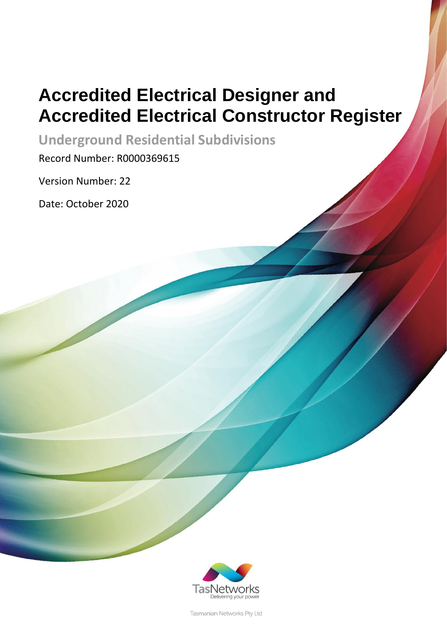# **Accredited Electrical Designer and Accredited Electrical Constructor Register**

**Underground Residential Subdivisions**

Record Number: R0000369615

Version Number: 22

Date: October 2020



Tasmanian Networks Pty Ltd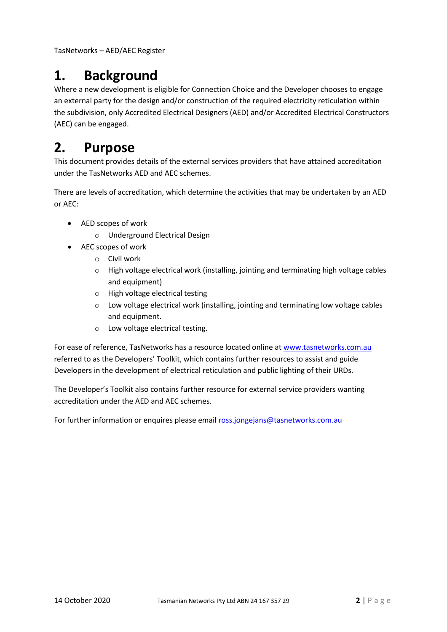## **1. Background**

Where a new development is eligible for Connection Choice and the Developer chooses to engage an external party for the design and/or construction of the required electricity reticulation within the subdivision, only Accredited Electrical Designers (AED) and/or Accredited Electrical Constructors (AEC) can be engaged.

## **2. Purpose**

This document provides details of the external services providers that have attained accreditation under the TasNetworks AED and AEC schemes.

There are levels of accreditation, which determine the activities that may be undertaken by an AED or AEC:

- AED scopes of work
	- o Underground Electrical Design
- AEC scopes of work
	- o Civil work
	- o High voltage electrical work (installing, jointing and terminating high voltage cables and equipment)
	- o High voltage electrical testing
	- o Low voltage electrical work (installing, jointing and terminating low voltage cables and equipment.
	- o Low voltage electrical testing.

For ease of reference, TasNetworks has a resource located online a[t www.tasnetworks.com.au](http://www.tasnetworks.com.au/) referred to as the Developers' Toolkit, which contains further resources to assist and guide Developers in the development of electrical reticulation and public lighting of their URDs.

The Developer's Toolkit also contains further resource for external service providers wanting accreditation under the AED and AEC schemes.

For further information or enquires please email [ross.jongejans@tasnetworks.com.au](mailto:ross.jongejans@tasnetworks.com.au)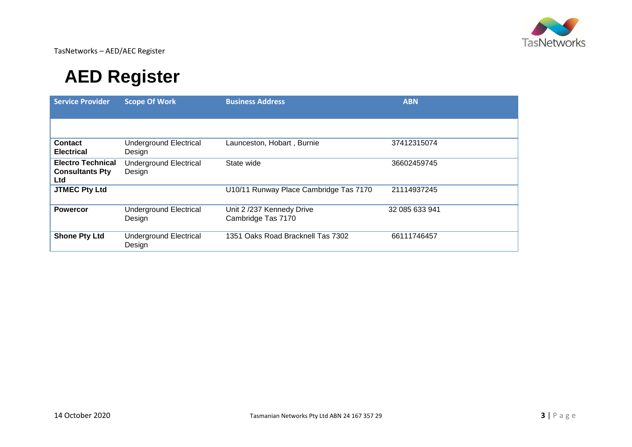

## **AED Register**

| <b>Service Provider</b>                                          | <b>Scope Of Work</b>                    | <b>Business Address</b>                        | <b>ABN</b>     |
|------------------------------------------------------------------|-----------------------------------------|------------------------------------------------|----------------|
|                                                                  |                                         |                                                |                |
| <b>Contact</b><br><b>Electrical</b>                              | <b>Underground Electrical</b><br>Design | Launceston, Hobart, Burnie                     | 37412315074    |
| <b>Electro Technical</b><br><b>Consultants Pty</b><br><b>Ltd</b> | <b>Underground Electrical</b><br>Design | State wide                                     | 36602459745    |
| <b>JTMEC Pty Ltd</b>                                             |                                         | U10/11 Runway Place Cambridge Tas 7170         | 21114937245    |
| <b>Powercor</b>                                                  | <b>Underground Electrical</b><br>Design | Unit 2/237 Kennedy Drive<br>Cambridge Tas 7170 | 32 085 633 941 |
| <b>Shone Pty Ltd</b>                                             | <b>Underground Electrical</b><br>Design | 1351 Oaks Road Bracknell Tas 7302              | 66111746457    |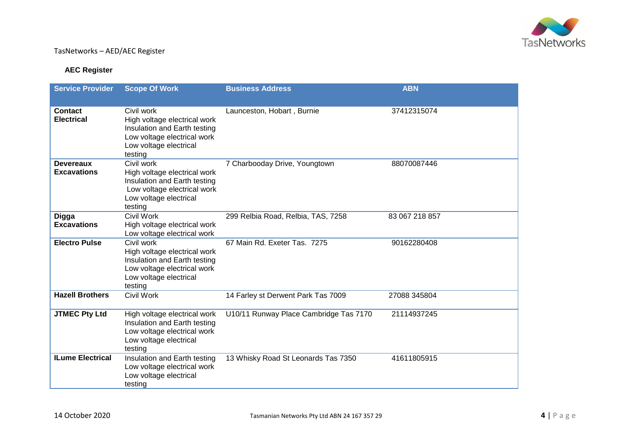

#### **AEC Register**

| <b>Service Provider</b>                | <b>Scope Of Work</b>                                                                                                                           | <b>Business Address</b>                | <b>ABN</b>     |
|----------------------------------------|------------------------------------------------------------------------------------------------------------------------------------------------|----------------------------------------|----------------|
| <b>Contact</b><br><b>Electrical</b>    | Civil work<br>High voltage electrical work<br>Insulation and Earth testing<br>Low voltage electrical work<br>Low voltage electrical<br>testing | Launceston, Hobart, Burnie             | 37412315074    |
| <b>Devereaux</b><br><b>Excavations</b> | Civil work<br>High voltage electrical work<br>Insulation and Earth testing<br>Low voltage electrical work<br>Low voltage electrical<br>testing | 7 Charbooday Drive, Youngtown          | 88070087446    |
| <b>Digga</b><br><b>Excavations</b>     | Civil Work<br>High voltage electrical work<br>Low voltage electrical work                                                                      | 299 Relbia Road, Relbia, TAS, 7258     | 83 067 218 857 |
| <b>Electro Pulse</b>                   | Civil work<br>High voltage electrical work<br>Insulation and Earth testing<br>Low voltage electrical work<br>Low voltage electrical<br>testing | 67 Main Rd. Exeter Tas. 7275           | 90162280408    |
| <b>Hazell Brothers</b>                 | <b>Civil Work</b>                                                                                                                              | 14 Farley st Derwent Park Tas 7009     | 27088 345804   |
| <b>JTMEC Pty Ltd</b>                   | High voltage electrical work<br>Insulation and Earth testing<br>Low voltage electrical work<br>Low voltage electrical<br>testing               | U10/11 Runway Place Cambridge Tas 7170 | 21114937245    |
| <b>ILume Electrical</b>                | Insulation and Earth testing<br>Low voltage electrical work<br>Low voltage electrical<br>testing                                               | 13 Whisky Road St Leonards Tas 7350    | 41611805915    |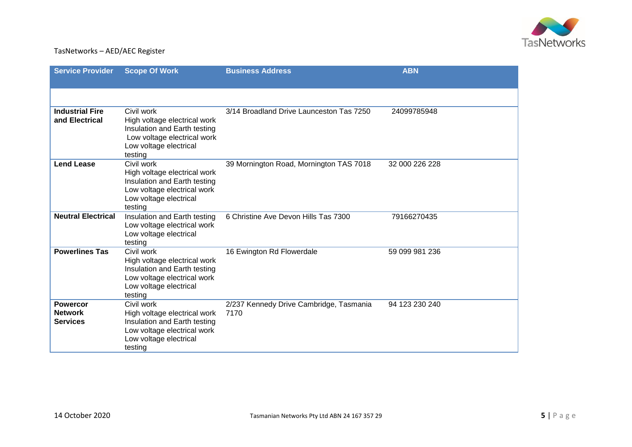

| <b>Service Provider</b>                              | <b>Scope Of Work</b>                                                                                                                           | <b>Business Address</b>                         | <b>ABN</b>     |
|------------------------------------------------------|------------------------------------------------------------------------------------------------------------------------------------------------|-------------------------------------------------|----------------|
|                                                      |                                                                                                                                                |                                                 |                |
| <b>Industrial Fire</b><br>and Electrical             | Civil work<br>High voltage electrical work<br>Insulation and Earth testing<br>Low voltage electrical work<br>Low voltage electrical<br>testing | 3/14 Broadland Drive Launceston Tas 7250        | 24099785948    |
| <b>Lend Lease</b>                                    | Civil work<br>High voltage electrical work<br>Insulation and Earth testing<br>Low voltage electrical work<br>Low voltage electrical<br>testing | 39 Mornington Road, Mornington TAS 7018         | 32 000 226 228 |
| <b>Neutral Electrical</b>                            | Insulation and Earth testing<br>Low voltage electrical work<br>Low voltage electrical<br>testing                                               | 6 Christine Ave Devon Hills Tas 7300            | 79166270435    |
| <b>Powerlines Tas</b>                                | Civil work<br>High voltage electrical work<br>Insulation and Earth testing<br>Low voltage electrical work<br>Low voltage electrical<br>testing | 16 Ewington Rd Flowerdale                       | 59 099 981 236 |
| <b>Powercor</b><br><b>Network</b><br><b>Services</b> | Civil work<br>High voltage electrical work<br>Insulation and Earth testing<br>Low voltage electrical work<br>Low voltage electrical<br>testing | 2/237 Kennedy Drive Cambridge, Tasmania<br>7170 | 94 123 230 240 |